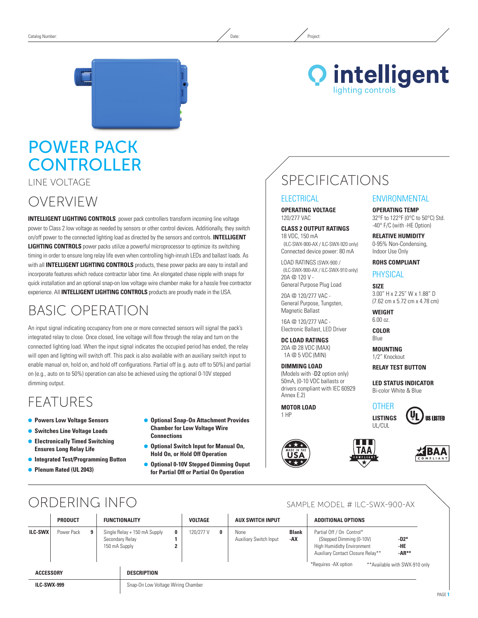### **Q** intelligent ighting controls

# Power Pack **CONTROLLER**

Line Voltage

OVERVIEW

**INTELLIGENT LIGHTING CONTROLS** power pack controllers transform incoming line voltage power to Class 2 low voltage as needed by sensors or other control devices. Additionally, they switch on/off power to the connected lighting load as directed by the sensors and controls. **INTELLIGENT LIGHTING CONTROLS** power packs utilize a powerful microprocessor to optimize its switching timing in order to ensure long relay life even when controlling high-inrush LEDs and ballast loads. As with all **INTELLIGENT LIGHTING CONTROLS** products, these power packs are easy to install and incorporate features which reduce contractor labor time. An elongated chase nipple with snaps for quick installation and an optional snap-on low voltage wire chamber make for a hassle free contractor experience. All **INTELLIGENT LIGHTING CONTROLS** products are proudly made in the USA.

# Basic Operation

An input signal indicating occupancy from one or more connected sensors will signal the pack's integrated relay to close. Once closed, line voltage will flow through the relay and turn on the connected lighting load. When the input signal indicates the occupied period has ended, the relay will open and lighting will switch off. This pack is also available with an auxiliary switch input to enable manual on, hold on, and hold off configurations. Partial off (e.g. auto off to 50%) and partial on (e.g., auto on to 50%) operation can also be achieved using the optional 0-10V stepped dimming output.

### FEATURES

- Ã **Powers Low Voltage Sensors**
- **Switches Line Voltage Loads**
- Ã **Electronically Timed Switching Ensures Long Relay Life**
- Ã **Integrated Test/Programming Button**
- Ã **Plenum Rated (UL 2043)**
- Ã **Optional Snap-On Attachment Provides Chamber for Low Voltage Wire Connections**
- Ã **Optional Switch Input for Manual On, Hold On, or Hold Off Operation**
- Ã **Optional 0-10V Stepped Dimming Ouput for Partial Off or Partial On Operation**

# SPECIFICATIONS

### **ELECTRICAL**

**Operating Voltage** 120/277 VAC

#### **Class 2 output ratings**

18 VDC, 150 mA (ILC-SWX-900-AX / ILC-SWX-920 only) Connected device power: 80 mA

LOAD RATINGS (SWX-900 / (ILC-SWX-900-AX / ILC-SWX-910 only) 20A @ 120 V - General Purpose Plug Load

20A @ 120/277 VAC - General Purpose, Tungsten, Magnetic Ballast

16A @ 120/277 VAC - Electronic Ballast, LED Driver

### **DC LOAD RATINGS**

20A @ 28 VDC (MAX) 1A @ 5 VDC (MIN)

(Models with -D2 option only) 50mA, (0-10 VDC ballasts or drivers compliant with IEC 60929 Annex E.2)

**MOTOR LOAD**







**Operating Temp** 32°F to 122°F (0°C to 50°C) Std. -40° F/C (with -HE Option)

**Relative Humidity** 0-95% Non-Condensing, Indoor Use Only

#### **ROHS Compliant**

**PHYSICAL** 

**Size** 3.00" H x 2.25" W x 1.88" D (7.62 cm x 5.72 cm x 4.78 cm)

**Weight**  6.00 oz.

**Color** Blue

**Mounting** 1/2" Knockout

**RELAY TEST BUTTON**

**LED Status Indicator** Bi-color White & Blue

#### **OTHER Listings**









# ORDERING INFO SAMPLE MODEL # ILC-SWX-900-AX

|                                                          | <b>PRODUCT</b> |   | <b>FUNCTIONALITY</b> |                                                 | <b>VOLTAGE</b> |           | <b>AUX SWITCH INPUT</b> |                                | <b>ADDITIONAL OPTIONS</b>                               |                                                                                                                                 |                          |  |
|----------------------------------------------------------|----------------|---|----------------------|-------------------------------------------------|----------------|-----------|-------------------------|--------------------------------|---------------------------------------------------------|---------------------------------------------------------------------------------------------------------------------------------|--------------------------|--|
| <b>ILC-SWX</b>                                           | Power Pack     | 9 | 150 mA Supply        | Single Relay + 150 mA Supply<br>Secondary Relay | 0<br>ı         | 120/277 V | 0                       | None<br>Auxiliary Switch Input | <b>Blank</b><br>-AX                                     | Partial Off / On Control*<br>(Stepped Dimming (0-10V)<br><b>High Humididty Environment</b><br>Auxiliary Contact Closure Relay** | $-D2*$<br>-HE<br>$-AR**$ |  |
| <b>ACCESSORY</b><br><b>DESCRIPTION</b>                   |                |   |                      |                                                 |                |           |                         |                                | *Requires - AX option<br>** Available with SWX-910 only |                                                                                                                                 |                          |  |
| Snap-On Low Voltage Wiring Chamber<br><b>ILC-SWX-999</b> |                |   |                      |                                                 |                |           |                         |                                |                                                         |                                                                                                                                 |                          |  |

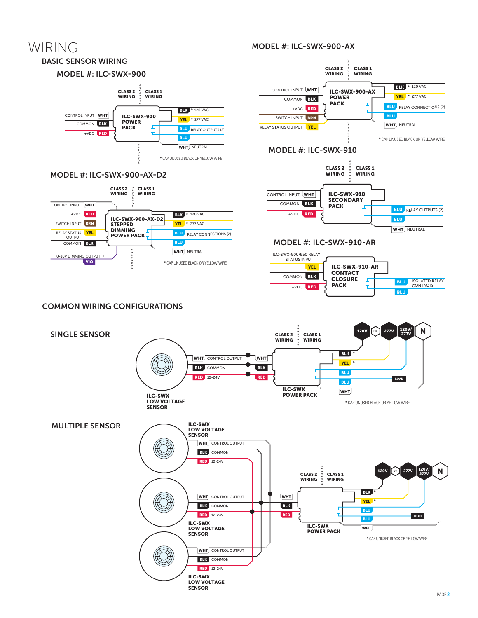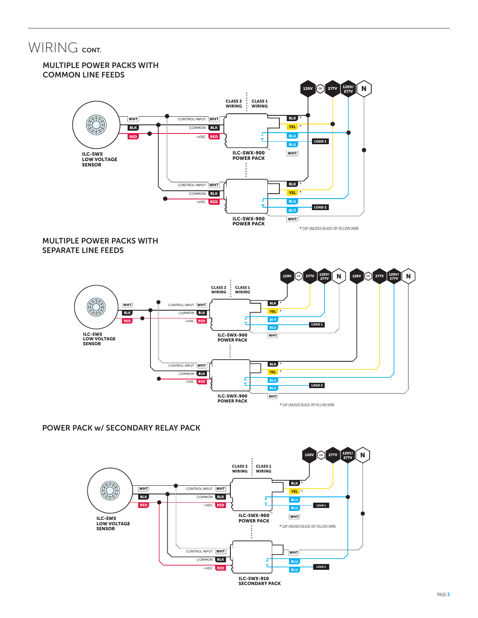### WIRING CONT.



### Multiple Power PackS WITH separate line feeds



### Power Pack w/ Secondary Relay Pack

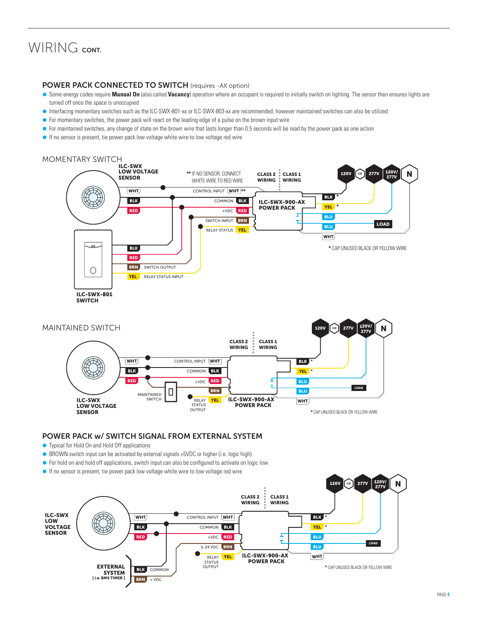### WIRING CONT.

#### POWER PACK CONNECTED TO SWITCH (requires -AX option)

- **Some energy codes require Manual On** (also called Vacancy) operation where an occupant is required to initially switch on lighting. The sensor then ensures lights are turned off once the space is unoccupied
- Ã Interfacing momentary switches such as the ILC-SWX-801-xx or ILC-SWX-803-xx are recommended, however maintained switches can also be utilized
- For momentary switches, the power pack will react on the leading edge of a pulse on the brown input wire
- For maintained switches, any change of state on the brown wire that lasts longer than 0.5 seconds will be read by the power pack as one action
- If no sensor is present, tie power pack low voltage white wire to low voltage red wire

### MOMENTARY SWITCH





#### Power Pack w/ Switch Signal from External System

- Typical for Hold On and Hold Off applications
- BROWN switch input can be activated by external signals +5VDC or higher (i.e. logic high)
- For hold on and hold off applications, switch input can also be configured to activate on logic low
- If no sensor is present, tie power pack low voltage white wire to low voltage red wire

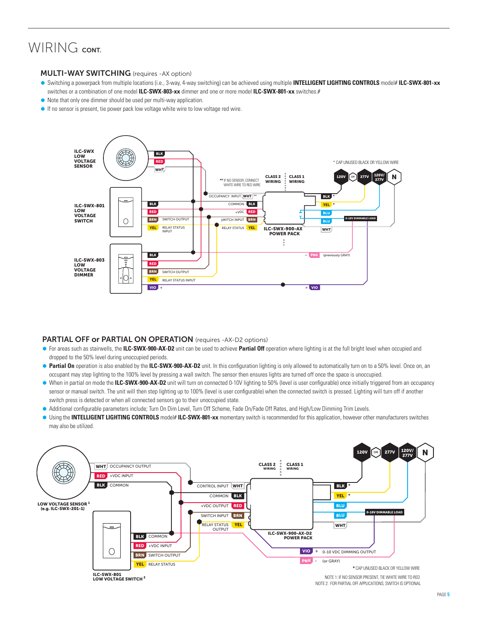## WIRING CONT.

#### MULTI-WAY SWITCHING (requires -AX option)

- Ã Switching a powerpack from multiple locations (i.e., 3-way, 4-way switching) can be achieved using multiple **INTELLIGENT LIGHTING CONTROLS** model# **ILC-SWX-801-xx**  switches or a combination of one model **ILC-SWX-803-xx** dimmer and one or more model **ILC-SWX-801-xx** switches.#
- $\bullet$  Note that only one dimmer should be used per multi-way application.
- $\bullet$  If no sensor is present, tie power pack low voltage white wire to low voltage red wire.



#### PARTIAL OFF or PARTIAL ON OPERATION (requires -AX-D2 options)

- For areas such as stairwells, the **ILC-SWX-900-AX-D2** unit can be used to achieve Partial Off operation where lighting is at the full bright level when occupied and dropped to the 50% level during unoccupied periods.
- Partial On operation is also enabled by the ILC-SWX-900-AX-D2 unit. In this configuration lighting is only allowed to automatically turn on to a 50% level. Once on, an occupant may step lighting to the 100% level by pressing a wall switch. The sensor then ensures lights are turned off once the space is unoccupied.
- When in partial on mode the **ILC-SWX-900-AX-D2** unit will turn on connected 0-10V lighting to 50% (level is user configurable) once initially triggered from an occupancy sensor or manual switch. The unit will then step lighting up to 100% (level is user configurable) when the connected switch is pressed. Lighting will turn off if another switch press is detected or when all connected sensors go to their unoccupied state.
- Additional configurable parameters include; Turn On Dim Level, Turn Off Scheme, Fade On/Fade Off Rates, and High/Low Dimming Trim Levels.
- **I** Using the **INTELLIGENT LIGHTING CONTROLS** model# ILC-SWX-801-xx momentary switch is recommended for this application, however other manufacturers switches may also be utilized.



NOTE 2: FOR PARTIAL OFF APPLICATIONS, SWITCH IS OPTIONAL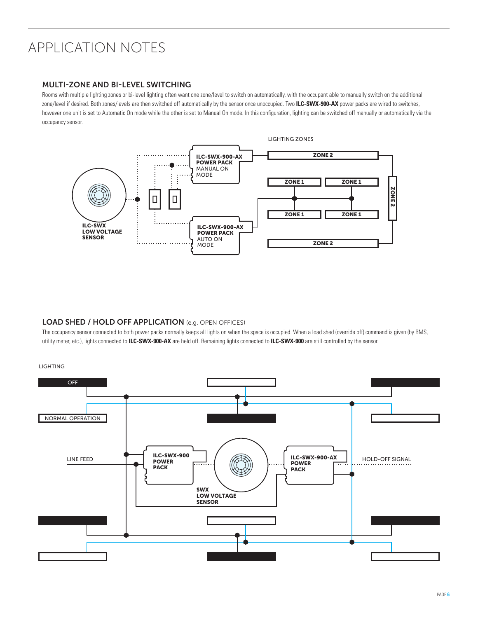# APPLICATION NOTES

#### Multi-zone and Bi-Level Switching

Rooms with multiple lighting zones or bi-level lighting often want one zone/level to switch on automatically, with the occupant able to manually switch on the additional zone/level if desired. Both zones/levels are then switched off automatically by the sensor once unoccupied. Two **ILC-SWX-900-AX** power packs are wired to switches, however one unit is set to Automatic On mode while the other is set to Manual On mode. In this configuration, lighting can be switched off manually or automatically via the occupancy sensor.



#### LOAD SHED / HOLD OFF APPLICATION (e.g. OPEN OFFICES)

The occupancy sensor connected to both power packs normally keeps all lights on when the space is occupied. When a load shed (override off) command is given (by BMS, utility meter, etc.), lights connected to **ILC-SWX-900-AX** are held off. Remaining lights connected to **ILC-SWX-900** are still controlled by the sensor.

LIGHTING